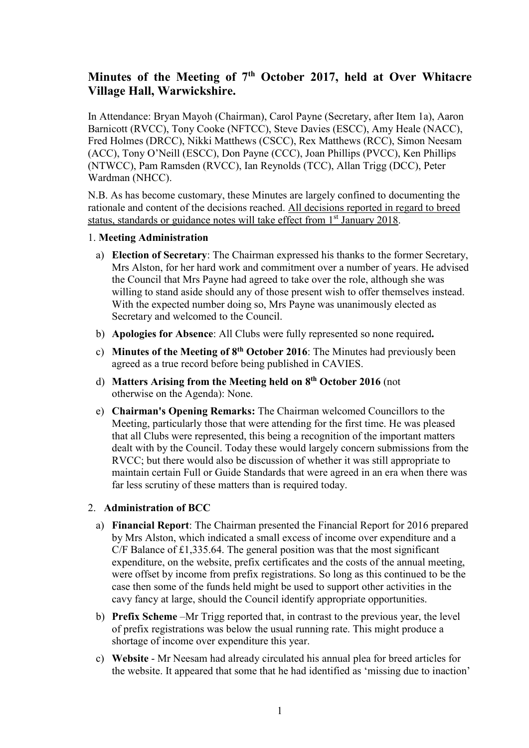# **Minutes of the Meeting of 7th October 2017, held at Over Whitacre Village Hall, Warwickshire.**

In Attendance: Bryan Mayoh (Chairman), Carol Payne (Secretary, after Item 1a), Aaron Barnicott (RVCC), Tony Cooke (NFTCC), Steve Davies (ESCC), Amy Heale (NACC), Fred Holmes (DRCC), Nikki Matthews (CSCC), Rex Matthews (RCC), Simon Neesam (ACC), Tony O'Neill (ESCC), Don Payne (CCC), Joan Phillips (PVCC), Ken Phillips (NTWCC), Pam Ramsden (RVCC), Ian Reynolds (TCC), Allan Trigg (DCC), Peter Wardman (NHCC).

N.B. As has become customary, these Minutes are largely confined to documenting the rationale and content of the decisions reached. All decisions reported in regard to breed status, standards or guidance notes will take effect from 1<sup>st</sup> January 2018.

# 1. **Meeting Administration**

- a) **Election of Secretary**: The Chairman expressed his thanks to the former Secretary, Mrs Alston, for her hard work and commitment over a number of years. He advised the Council that Mrs Payne had agreed to take over the role, although she was willing to stand aside should any of those present wish to offer themselves instead. With the expected number doing so, Mrs Payne was unanimously elected as Secretary and welcomed to the Council.
- b) **Apologies for Absence**: All Clubs were fully represented so none required**.**
- c) **Minutes of the Meeting of 8th October 2016**: The Minutes had previously been agreed as a true record before being published in CAVIES.
- d) **Matters Arising from the Meeting held on 8th October 2016** (not otherwise on the Agenda): None.
- e) **Chairman's Opening Remarks:** The Chairman welcomed Councillors to the Meeting, particularly those that were attending for the first time. He was pleased that all Clubs were represented, this being a recognition of the important matters dealt with by the Council. Today these would largely concern submissions from the RVCC; but there would also be discussion of whether it was still appropriate to maintain certain Full or Guide Standards that were agreed in an era when there was far less scrutiny of these matters than is required today.

# 2. **Administration of BCC**

- a) **Financial Report**: The Chairman presented the Financial Report for 2016 prepared by Mrs Alston, which indicated a small excess of income over expenditure and a C/F Balance of £1,335.64. The general position was that the most significant expenditure, on the website, prefix certificates and the costs of the annual meeting, were offset by income from prefix registrations. So long as this continued to be the case then some of the funds held might be used to support other activities in the cavy fancy at large, should the Council identify appropriate opportunities.
- b) **Prefix Scheme** –Mr Trigg reported that, in contrast to the previous year, the level of prefix registrations was below the usual running rate. This might produce a shortage of income over expenditure this year.
- c) **Website** Mr Neesam had already circulated his annual plea for breed articles for the website. It appeared that some that he had identified as 'missing due to inaction'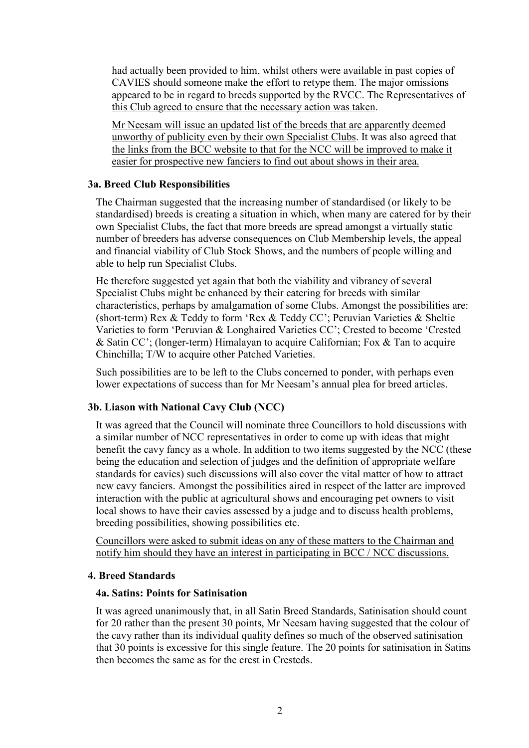had actually been provided to him, whilst others were available in past copies of CAVIES should someone make the effort to retype them. The major omissions appeared to be in regard to breeds supported by the RVCC. The Representatives of this Club agreed to ensure that the necessary action was taken.

Mr Neesam will issue an updated list of the breeds that are apparently deemed unworthy of publicity even by their own Specialist Clubs. It was also agreed that the links from the BCC website to that for the NCC will be improved to make it easier for prospective new fanciers to find out about shows in their area.

# **3a. Breed Club Responsibilities**

The Chairman suggested that the increasing number of standardised (or likely to be standardised) breeds is creating a situation in which, when many are catered for by their own Specialist Clubs, the fact that more breeds are spread amongst a virtually static number of breeders has adverse consequences on Club Membership levels, the appeal and financial viability of Club Stock Shows, and the numbers of people willing and able to help run Specialist Clubs.

He therefore suggested yet again that both the viability and vibrancy of several Specialist Clubs might be enhanced by their catering for breeds with similar characteristics, perhaps by amalgamation of some Clubs. Amongst the possibilities are: (short-term) Rex & Teddy to form 'Rex & Teddy CC'; Peruvian Varieties & Sheltie Varieties to form 'Peruvian & Longhaired Varieties CC'; Crested to become 'Crested & Satin CC'; (longer-term) Himalayan to acquire Californian; Fox & Tan to acquire Chinchilla; T/W to acquire other Patched Varieties.

Such possibilities are to be left to the Clubs concerned to ponder, with perhaps even lower expectations of success than for Mr Neesam's annual plea for breed articles.

# **3b. Liason with National Cavy Club (NCC)**

It was agreed that the Council will nominate three Councillors to hold discussions with a similar number of NCC representatives in order to come up with ideas that might benefit the cavy fancy as a whole. In addition to two items suggested by the NCC (these being the education and selection of judges and the definition of appropriate welfare standards for cavies) such discussions will also cover the vital matter of how to attract new cavy fanciers. Amongst the possibilities aired in respect of the latter are improved interaction with the public at agricultural shows and encouraging pet owners to visit local shows to have their cavies assessed by a judge and to discuss health problems, breeding possibilities, showing possibilities etc.

Councillors were asked to submit ideas on any of these matters to the Chairman and notify him should they have an interest in participating in BCC / NCC discussions.

# **4. Breed Standards**

# **4a. Satins: Points for Satinisation**

It was agreed unanimously that, in all Satin Breed Standards, Satinisation should count for 20 rather than the present 30 points, Mr Neesam having suggested that the colour of the cavy rather than its individual quality defines so much of the observed satinisation that 30 points is excessive for this single feature. The 20 points for satinisation in Satins then becomes the same as for the crest in Cresteds.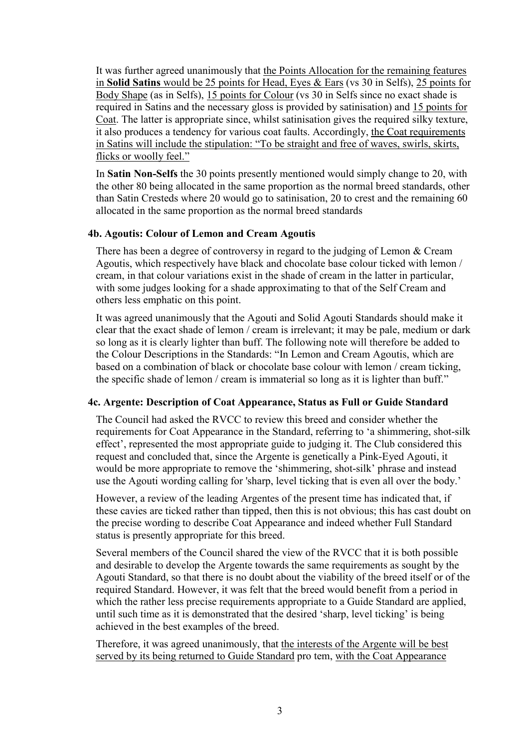It was further agreed unanimously that the Points Allocation for the remaining features in **Solid Satins** would be 25 points for Head, Eyes & Ears (vs 30 in Selfs), 25 points for Body Shape (as in Selfs), 15 points for Colour (vs 30 in Selfs since no exact shade is required in Satins and the necessary gloss is provided by satinisation) and 15 points for Coat. The latter is appropriate since, whilst satinisation gives the required silky texture, it also produces a tendency for various coat faults. Accordingly, the Coat requirements in Satins will include the stipulation: "To be straight and free of waves, swirls, skirts, flicks or woolly feel."

In **Satin Non-Selfs** the 30 points presently mentioned would simply change to 20, with the other 80 being allocated in the same proportion as the normal breed standards, other than Satin Cresteds where 20 would go to satinisation, 20 to crest and the remaining 60 allocated in the same proportion as the normal breed standards

# **4b. Agoutis: Colour of Lemon and Cream Agoutis**

There has been a degree of controversy in regard to the judging of Lemon & Cream Agoutis, which respectively have black and chocolate base colour ticked with lemon / cream, in that colour variations exist in the shade of cream in the latter in particular, with some judges looking for a shade approximating to that of the Self Cream and others less emphatic on this point.

It was agreed unanimously that the Agouti and Solid Agouti Standards should make it clear that the exact shade of lemon / cream is irrelevant; it may be pale, medium or dark so long as it is clearly lighter than buff. The following note will therefore be added to the Colour Descriptions in the Standards: "In Lemon and Cream Agoutis, which are based on a combination of black or chocolate base colour with lemon / cream ticking, the specific shade of lemon / cream is immaterial so long as it is lighter than buff."

# **4c. Argente: Description of Coat Appearance, Status as Full or Guide Standard**

The Council had asked the RVCC to review this breed and consider whether the requirements for Coat Appearance in the Standard, referring to 'a shimmering, shot-silk effect', represented the most appropriate guide to judging it. The Club considered this request and concluded that, since the Argente is genetically a Pink-Eyed Agouti, it would be more appropriate to remove the 'shimmering, shot-silk' phrase and instead use the Agouti wording calling for 'sharp, level ticking that is even all over the body.'

However, a review of the leading Argentes of the present time has indicated that, if these cavies are ticked rather than tipped, then this is not obvious; this has cast doubt on the precise wording to describe Coat Appearance and indeed whether Full Standard status is presently appropriate for this breed.

Several members of the Council shared the view of the RVCC that it is both possible and desirable to develop the Argente towards the same requirements as sought by the Agouti Standard, so that there is no doubt about the viability of the breed itself or of the required Standard. However, it was felt that the breed would benefit from a period in which the rather less precise requirements appropriate to a Guide Standard are applied, until such time as it is demonstrated that the desired 'sharp, level ticking' is being achieved in the best examples of the breed.

Therefore, it was agreed unanimously, that the interests of the Argente will be best served by its being returned to Guide Standard pro tem, with the Coat Appearance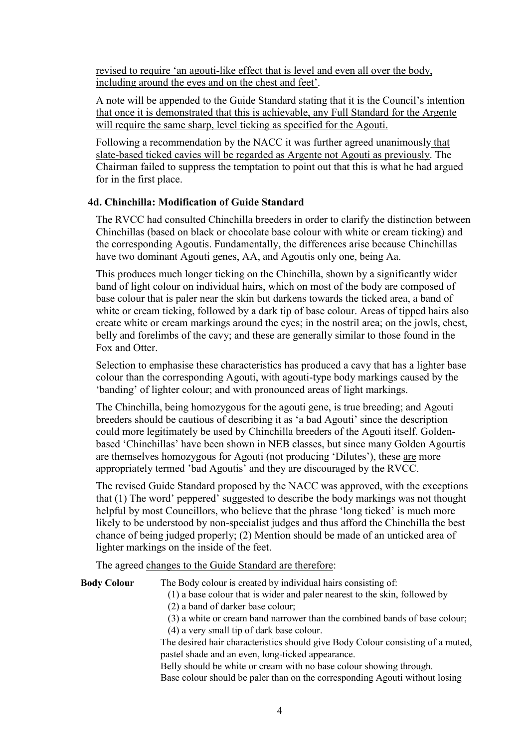revised to require 'an agouti-like effect that is level and even all over the body, including around the eyes and on the chest and feet'.

A note will be appended to the Guide Standard stating that it is the Council's intention that once it is demonstrated that this is achievable, any Full Standard for the Argente will require the same sharp, level ticking as specified for the Agouti.

Following a recommendation by the NACC it was further agreed unanimously that slate-based ticked cavies will be regarded as Argente not Agouti as previously. The Chairman failed to suppress the temptation to point out that this is what he had argued for in the first place.

# **4d. Chinchilla: Modification of Guide Standard**

The RVCC had consulted Chinchilla breeders in order to clarify the distinction between Chinchillas (based on black or chocolate base colour with white or cream ticking) and the corresponding Agoutis. Fundamentally, the differences arise because Chinchillas have two dominant Agouti genes, AA, and Agoutis only one, being Aa.

This produces much longer ticking on the Chinchilla, shown by a significantly wider band of light colour on individual hairs, which on most of the body are composed of base colour that is paler near the skin but darkens towards the ticked area, a band of white or cream ticking, followed by a dark tip of base colour. Areas of tipped hairs also create white or cream markings around the eyes; in the nostril area; on the jowls, chest, belly and forelimbs of the cavy; and these are generally similar to those found in the Fox and Otter.

Selection to emphasise these characteristics has produced a cavy that has a lighter base colour than the corresponding Agouti, with agouti-type body markings caused by the 'banding' of lighter colour; and with pronounced areas of light markings.

The Chinchilla, being homozygous for the agouti gene, is true breeding; and Agouti breeders should be cautious of describing it as 'a bad Agouti' since the description could more legitimately be used by Chinchilla breeders of the Agouti itself. Goldenbased 'Chinchillas' have been shown in NEB classes, but since many Golden Agourtis are themselves homozygous for Agouti (not producing 'Dilutes'), these are more appropriately termed 'bad Agoutis' and they are discouraged by the RVCC.

The revised Guide Standard proposed by the NACC was approved, with the exceptions that (1) The word' peppered' suggested to describe the body markings was not thought helpful by most Councillors, who believe that the phrase 'long ticked' is much more likely to be understood by non-specialist judges and thus afford the Chinchilla the best chance of being judged properly; (2) Mention should be made of an unticked area of lighter markings on the inside of the feet.

The agreed changes to the Guide Standard are therefore:

| <b>Body Colour</b> | The Body colour is created by individual hairs consisting of:                   |
|--------------------|---------------------------------------------------------------------------------|
|                    | (1) a base colour that is wider and paler nearest to the skin, followed by      |
|                    | (2) a band of darker base colour;                                               |
|                    | (3) a white or cream band narrower than the combined bands of base colour;      |
|                    | (4) a very small tip of dark base colour.                                       |
|                    | The desired hair characteristics should give Body Colour consisting of a muted, |
|                    | pastel shade and an even, long-ticked appearance.                               |
|                    |                                                                                 |

Belly should be white or cream with no base colour showing through. Base colour should be paler than on the corresponding Agouti without losing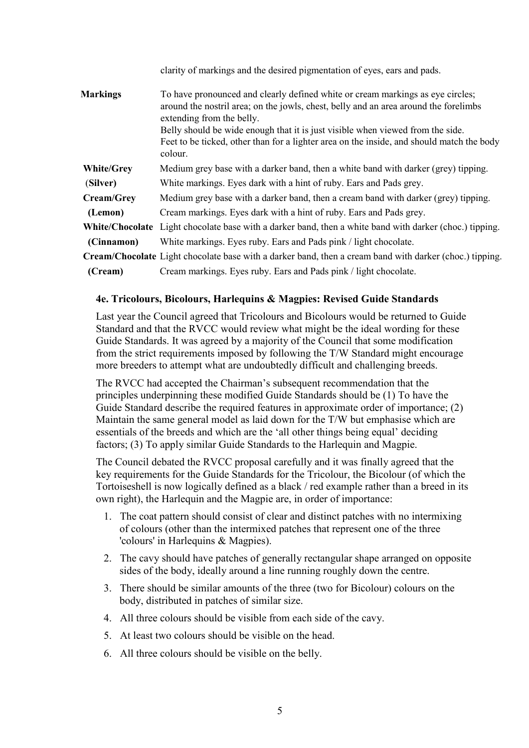|                   | clarity of markings and the desired pigmentation of eyes, ears and pads.                                                                                                                                                                                                                                                                                                           |
|-------------------|------------------------------------------------------------------------------------------------------------------------------------------------------------------------------------------------------------------------------------------------------------------------------------------------------------------------------------------------------------------------------------|
| <b>Markings</b>   | To have pronounced and clearly defined white or cream markings as eye circles;<br>around the nostril area; on the jowls, chest, belly and an area around the forelimbs<br>extending from the belly.<br>Belly should be wide enough that it is just visible when viewed from the side.<br>Feet to be ticked, other than for a lighter area on the inside, and should match the body |
|                   | colour.                                                                                                                                                                                                                                                                                                                                                                            |
| <b>White/Grey</b> | Medium grey base with a darker band, then a white band with darker (grey) tipping.                                                                                                                                                                                                                                                                                                 |
| (Silver)          | White markings. Eyes dark with a hint of ruby. Ears and Pads grey.                                                                                                                                                                                                                                                                                                                 |
| <b>Cream/Grey</b> | Medium grey base with a darker band, then a cream band with darker (grey) tipping.                                                                                                                                                                                                                                                                                                 |
| (Lemon)           | Cream markings. Eyes dark with a hint of ruby. Ears and Pads grey.                                                                                                                                                                                                                                                                                                                 |
|                   | <b>White/Chocolate</b> Light chocolate base with a darker band, then a white band with darker (choc.) tipping.                                                                                                                                                                                                                                                                     |
| (Cinnamon)        | White markings. Eyes ruby. Ears and Pads pink / light chocolate.                                                                                                                                                                                                                                                                                                                   |
|                   | <b>Cream/Chocolate</b> Light chocolate base with a darker band, then a cream band with darker (choc.) tipping.                                                                                                                                                                                                                                                                     |
| (Cream)           | Cream markings. Eyes ruby. Ears and Pads pink / light chocolate.                                                                                                                                                                                                                                                                                                                   |

# **4e. Tricolours, Bicolours, Harlequins & Magpies: Revised Guide Standards**

Last year the Council agreed that Tricolours and Bicolours would be returned to Guide Standard and that the RVCC would review what might be the ideal wording for these Guide Standards. It was agreed by a majority of the Council that some modification from the strict requirements imposed by following the T/W Standard might encourage more breeders to attempt what are undoubtedly difficult and challenging breeds.

The RVCC had accepted the Chairman's subsequent recommendation that the principles underpinning these modified Guide Standards should be (1) To have the Guide Standard describe the required features in approximate order of importance; (2) Maintain the same general model as laid down for the T/W but emphasise which are essentials of the breeds and which are the 'all other things being equal' deciding factors; (3) To apply similar Guide Standards to the Harlequin and Magpie.

The Council debated the RVCC proposal carefully and it was finally agreed that the key requirements for the Guide Standards for the Tricolour, the Bicolour (of which the Tortoiseshell is now logically defined as a black / red example rather than a breed in its own right), the Harlequin and the Magpie are, in order of importance:

- 1. The coat pattern should consist of clear and distinct patches with no intermixing of colours (other than the intermixed patches that represent one of the three 'colours' in Harlequins & Magpies).
- 2. The cavy should have patches of generally rectangular shape arranged on opposite sides of the body, ideally around a line running roughly down the centre.
- 3. There should be similar amounts of the three (two for Bicolour) colours on the body, distributed in patches of similar size.
- 4. All three colours should be visible from each side of the cavy.
- 5. At least two colours should be visible on the head.
- 6. All three colours should be visible on the belly.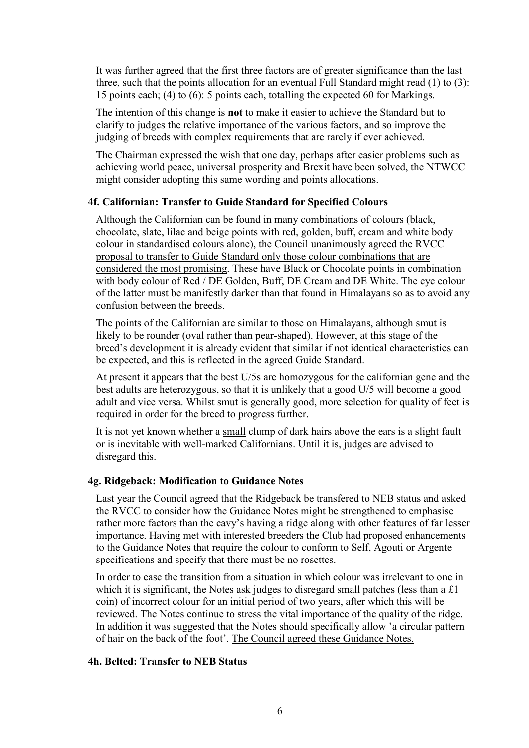It was further agreed that the first three factors are of greater significance than the last three, such that the points allocation for an eventual Full Standard might read (1) to (3): 15 points each; (4) to (6): 5 points each, totalling the expected 60 for Markings.

The intention of this change is **not** to make it easier to achieve the Standard but to clarify to judges the relative importance of the various factors, and so improve the judging of breeds with complex requirements that are rarely if ever achieved.

The Chairman expressed the wish that one day, perhaps after easier problems such as achieving world peace, universal prosperity and Brexit have been solved, the NTWCC might consider adopting this same wording and points allocations.

#### 4**f. Californian: Transfer to Guide Standard for Specified Colours**

Although the Californian can be found in many combinations of colours (black, chocolate, slate, lilac and beige points with red, golden, buff, cream and white body colour in standardised colours alone), the Council unanimously agreed the RVCC proposal to transfer to Guide Standard only those colour combinations that are considered the most promising. These have Black or Chocolate points in combination with body colour of Red / DE Golden, Buff, DE Cream and DE White. The eye colour of the latter must be manifestly darker than that found in Himalayans so as to avoid any confusion between the breeds.

The points of the Californian are similar to those on Himalayans, although smut is likely to be rounder (oval rather than pear-shaped). However, at this stage of the breed's development it is already evident that similar if not identical characteristics can be expected, and this is reflected in the agreed Guide Standard.

At present it appears that the best U/5s are homozygous for the californian gene and the best adults are heterozygous, so that it is unlikely that a good U/5 will become a good adult and vice versa. Whilst smut is generally good, more selection for quality of feet is required in order for the breed to progress further.

It is not yet known whether a small clump of dark hairs above the ears is a slight fault or is inevitable with well-marked Californians. Until it is, judges are advised to disregard this.

#### **4g. Ridgeback: Modification to Guidance Notes**

Last year the Council agreed that the Ridgeback be transfered to NEB status and asked the RVCC to consider how the Guidance Notes might be strengthened to emphasise rather more factors than the cavy's having a ridge along with other features of far lesser importance. Having met with interested breeders the Club had proposed enhancements to the Guidance Notes that require the colour to conform to Self, Agouti or Argente specifications and specify that there must be no rosettes.

In order to ease the transition from a situation in which colour was irrelevant to one in which it is significant, the Notes ask judges to disregard small patches (less than a £1) coin) of incorrect colour for an initial period of two years, after which this will be reviewed. The Notes continue to stress the vital importance of the quality of the ridge. In addition it was suggested that the Notes should specifically allow 'a circular pattern of hair on the back of the foot'. The Council agreed these Guidance Notes.

#### **4h. Belted: Transfer to NEB Status**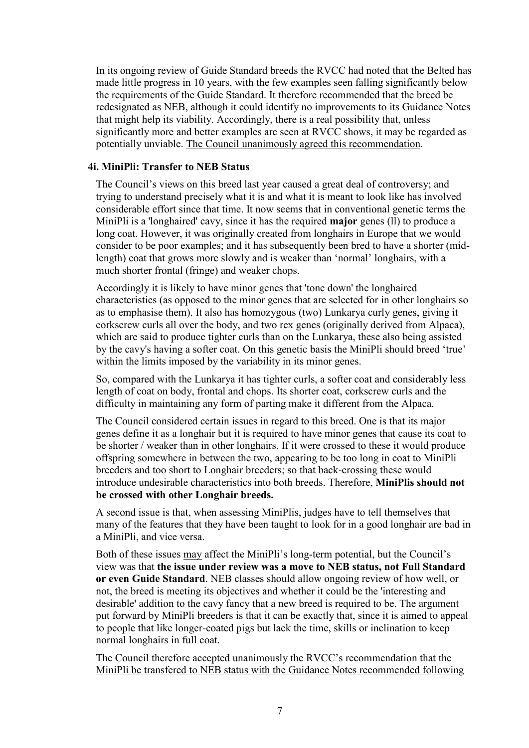In its ongoing review of Guide Standard breeds the RVCC had noted that the Belted has made little progress in 10 years, with the few examples seen falling significantly below the requirements of the Guide Standard. It therefore recommended that the breed be redesignated as NEB, although it could identify no improvements to its Guidance Notes that might help its viability. Accordingly, there is a real possibility that, unless significantly more and better examples are seen at RVCC shows, it may be regarded as potentially unviable. The Council unanimously agreed this recommendation.

# **4i. MiniPli: Transfer to NEB Status**

The Council's views on this breed last year caused a great deal of controversy; and trying to understand precisely what it is and what it is meant to look like has involved considerable effort since that time. It now seems that in conventional genetic terms the MiniPli is a 'longhaired' cavy, since it has the required **major** genes (ll) to produce a long coat. However, it was originally created from longhairs in Europe that we would consider to be poor examples; and it has subsequently been bred to have a shorter (midlength) coat that grows more slowly and is weaker than 'normal' longhairs, with a much shorter frontal (fringe) and weaker chops.

Accordingly it is likely to have minor genes that 'tone down' the longhaired characteristics (as opposed to the minor genes that are selected for in other longhairs so as to emphasise them). It also has homozygous (two) Lunkarya curly genes, giving it corkscrew curls all over the body, and two rex genes (originally derived from Alpaca), which are said to produce tighter curls than on the Lunkarya, these also being assisted by the cavy's having a softer coat. On this genetic basis the MiniPli should breed 'true' within the limits imposed by the variability in its minor genes.

So, compared with the Lunkarya it has tighter curls, a softer coat and considerably less length of coat on body, frontal and chops. Its shorter coat, corkscrew curls and the difficulty in maintaining any form of parting make it different from the Alpaca.

The Council considered certain issues in regard to this breed. One is that its major genes define it as a longhair but it is required to have minor genes that cause its coat to be shorter / weaker than in other longhairs. If it were crossed to these it would produce offspring somewhere in between the two, appearing to be too long in coat to MiniPli breeders and too short to Longhair breeders; so that back-crossing these would introduce undesirable characteristics into both breeds. Therefore, **MiniPlis should not be crossed with other Longhair breeds.**

A second issue is that, when assessing MiniPlis, judges have to tell themselves that many of the features that they have been taught to look for in a good longhair are bad in a MiniPli, and vice versa.

Both of these issues may affect the MiniPli's long-term potential, but the Council's view was that **the issue under review was a move to NEB status, not Full Standard or even Guide Standard**. NEB classes should allow ongoing review of how well, or not, the breed is meeting its objectives and whether it could be the 'interesting and desirable' addition to the cavy fancy that a new breed is required to be. The argument put forward by MiniPli breeders is that it can be exactly that, since it is aimed to appeal to people that like longer-coated pigs but lack the time, skills or inclination to keep normal longhairs in full coat.

The Council therefore accepted unanimously the RVCC's recommendation that the MiniPli be transfered to NEB status with the Guidance Notes recommended following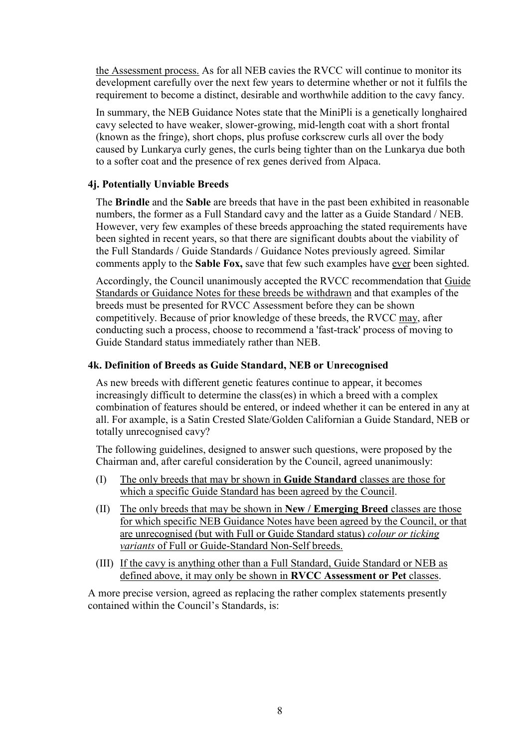the Assessment process. As for all NEB cavies the RVCC will continue to monitor its development carefully over the next few years to determine whether or not it fulfils the requirement to become a distinct, desirable and worthwhile addition to the cavy fancy.

In summary, the NEB Guidance Notes state that the MiniPli is a genetically longhaired cavy selected to have weaker, slower-growing, mid-length coat with a short frontal (known as the fringe), short chops, plus profuse corkscrew curls all over the body caused by Lunkarya curly genes, the curls being tighter than on the Lunkarya due both to a softer coat and the presence of rex genes derived from Alpaca.

# **4j. Potentially Unviable Breeds**

The **Brindle** and the **Sable** are breeds that have in the past been exhibited in reasonable numbers, the former as a Full Standard cavy and the latter as a Guide Standard / NEB. However, very few examples of these breeds approaching the stated requirements have been sighted in recent years, so that there are significant doubts about the viability of the Full Standards / Guide Standards / Guidance Notes previously agreed. Similar comments apply to the **Sable Fox,** save that few such examples have ever been sighted.

Accordingly, the Council unanimously accepted the RVCC recommendation that Guide Standards or Guidance Notes for these breeds be withdrawn and that examples of the breeds must be presented for RVCC Assessment before they can be shown competitively. Because of prior knowledge of these breeds, the RVCC may, after conducting such a process, choose to recommend a 'fast-track' process of moving to Guide Standard status immediately rather than NEB.

# **4k. Definition of Breeds as Guide Standard, NEB or Unrecognised**

As new breeds with different genetic features continue to appear, it becomes increasingly difficult to determine the class(es) in which a breed with a complex combination of features should be entered, or indeed whether it can be entered in any at all. For axample, is a Satin Crested Slate/Golden Californian a Guide Standard, NEB or totally unrecognised cavy?

The following guidelines, designed to answer such questions, were proposed by the Chairman and, after careful consideration by the Council, agreed unanimously:

- (I) The only breeds that may br shown in **Guide Standard** classes are those for which a specific Guide Standard has been agreed by the Council.
- (II) The only breeds that may be shown in **New / Emerging Breed** classes are those for which specific NEB Guidance Notes have been agreed by the Council, or that are unrecognised (but with Full or Guide Standard status) *colour or ticking variants* of Full or Guide-Standard Non-Self breeds.
- (III) If the cavy is anything other than a Full Standard, Guide Standard or NEB as defined above, it may only be shown in **RVCC Assessment or Pet** classes.

A more precise version, agreed as replacing the rather complex statements presently contained within the Council's Standards, is: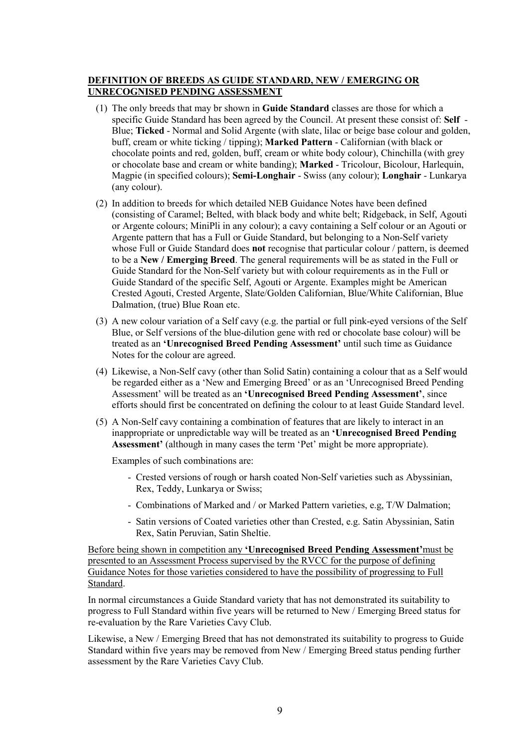#### **DEFINITION OF BREEDS AS GUIDE STANDARD, NEW / EMERGING OR UNRECOGNISED PENDING ASSESSMENT**

- (1) The only breeds that may br shown in **Guide Standard** classes are those for which a specific Guide Standard has been agreed by the Council. At present these consist of: **Self** - Blue; **Ticked** - Normal and Solid Argente (with slate, lilac or beige base colour and golden, buff, cream or white ticking / tipping); **Marked Pattern** - Californian (with black or chocolate points and red, golden, buff, cream or white body colour), Chinchilla (with grey or chocolate base and cream or white banding); **Marked** - Tricolour, Bicolour, Harlequin, Magpie (in specified colours); **Semi-Longhair** - Swiss (any colour); **Longhair** - Lunkarya (any colour).
- (2) In addition to breeds for which detailed NEB Guidance Notes have been defined (consisting of Caramel; Belted, with black body and white belt; Ridgeback, in Self, Agouti or Argente colours; MiniPli in any colour); a cavy containing a Self colour or an Agouti or Argente pattern that has a Full or Guide Standard, but belonging to a Non-Self variety whose Full or Guide Standard does **not** recognise that particular colour / pattern, is deemed to be a **New / Emerging Breed**. The general requirements will be as stated in the Full or Guide Standard for the Non-Self variety but with colour requirements as in the Full or Guide Standard of the specific Self, Agouti or Argente. Examples might be American Crested Agouti, Crested Argente, Slate/Golden Californian, Blue/White Californian, Blue Dalmation, (true) Blue Roan etc.
- (3) A new colour variation of a Self cavy (e.g. the partial or full pink-eyed versions of the Self Blue, or Self versions of the blue-dilution gene with red or chocolate base colour) will be treated as an **'Unrecognised Breed Pending Assessment'** until such time as Guidance Notes for the colour are agreed.
- (4) Likewise, a Non-Self cavy (other than Solid Satin) containing a colour that as a Self would be regarded either as a 'New and Emerging Breed' or as an 'Unrecognised Breed Pending Assessment' will be treated as an **'Unrecognised Breed Pending Assessment'**, since efforts should first be concentrated on defining the colour to at least Guide Standard level.
- (5) A Non-Self cavy containing a combination of features that are likely to interact in an inappropriate or unpredictable way will be treated as an **'Unrecognised Breed Pending Assessment'** (although in many cases the term 'Pet' might be more appropriate).

Examples of such combinations are:

- Crested versions of rough or harsh coated Non-Self varieties such as Abyssinian, Rex, Teddy, Lunkarya or Swiss;
- Combinations of Marked and / or Marked Pattern varieties, e.g, T/W Dalmation;
- Satin versions of Coated varieties other than Crested, e.g. Satin Abyssinian, Satin Rex, Satin Peruvian, Satin Sheltie.

Before being shown in competition any **'Unrecognised Breed Pending Assessment'**must be presented to an Assessment Process supervised by the RVCC for the purpose of defining Guidance Notes for those varieties considered to have the possibility of progressing to Full Standard.

In normal circumstances a Guide Standard variety that has not demonstrated its suitability to progress to Full Standard within five years will be returned to New / Emerging Breed status for re-evaluation by the Rare Varieties Cavy Club.

Likewise, a New / Emerging Breed that has not demonstrated its suitability to progress to Guide Standard within five years may be removed from New / Emerging Breed status pending further assessment by the Rare Varieties Cavy Club.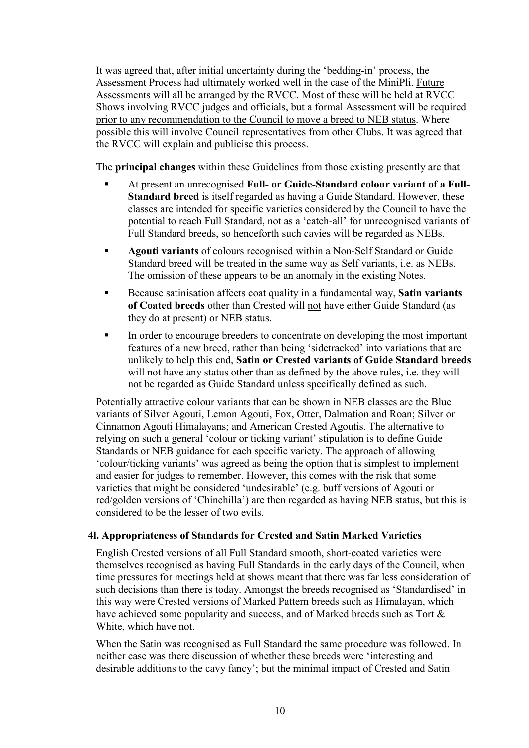It was agreed that, after initial uncertainty during the 'bedding-in' process, the Assessment Process had ultimately worked well in the case of the MiniPli. Future Assessments will all be arranged by the RVCC. Most of these will be held at RVCC Shows involving RVCC judges and officials, but a formal Assessment will be required prior to any recommendation to the Council to move a breed to NEB status. Where possible this will involve Council representatives from other Clubs. It was agreed that the RVCC will explain and publicise this process.

The **principal changes** within these Guidelines from those existing presently are that

- At present an unrecognised **Full- or Guide-Standard colour variant of a Full-Standard breed** is itself regarded as having a Guide Standard. However, these classes are intended for specific varieties considered by the Council to have the potential to reach Full Standard, not as a 'catch-all' for unrecognised variants of Full Standard breeds, so henceforth such cavies will be regarded as NEBs.
- **Agouti variants** of colours recognised within a Non-Self Standard or Guide Standard breed will be treated in the same way as Self variants, i.e. as NEBs. The omission of these appears to be an anomaly in the existing Notes.
- Because satinisation affects coat quality in a fundamental way, **Satin variants of Coated breeds** other than Crested will not have either Guide Standard (as they do at present) or NEB status.
- In order to encourage breeders to concentrate on developing the most important features of a new breed, rather than being 'sidetracked' into variations that are unlikely to help this end, **Satin or Crested variants of Guide Standard breeds** will not have any status other than as defined by the above rules, i.e. they will not be regarded as Guide Standard unless specifically defined as such.

Potentially attractive colour variants that can be shown in NEB classes are the Blue variants of Silver Agouti, Lemon Agouti, Fox, Otter, Dalmation and Roan; Silver or Cinnamon Agouti Himalayans; and American Crested Agoutis. The alternative to relying on such a general 'colour or ticking variant' stipulation is to define Guide Standards or NEB guidance for each specific variety. The approach of allowing 'colour/ticking variants' was agreed as being the option that is simplest to implement and easier for judges to remember. However, this comes with the risk that some varieties that might be considered 'undesirable' (e.g. buff versions of Agouti or red/golden versions of 'Chinchilla') are then regarded as having NEB status, but this is considered to be the lesser of two evils.

# **4l. Appropriateness of Standards for Crested and Satin Marked Varieties**

English Crested versions of all Full Standard smooth, short-coated varieties were themselves recognised as having Full Standards in the early days of the Council, when time pressures for meetings held at shows meant that there was far less consideration of such decisions than there is today. Amongst the breeds recognised as 'Standardised' in this way were Crested versions of Marked Pattern breeds such as Himalayan, which have achieved some popularity and success, and of Marked breeds such as Tort & White, which have not.

When the Satin was recognised as Full Standard the same procedure was followed. In neither case was there discussion of whether these breeds were 'interesting and desirable additions to the cavy fancy'; but the minimal impact of Crested and Satin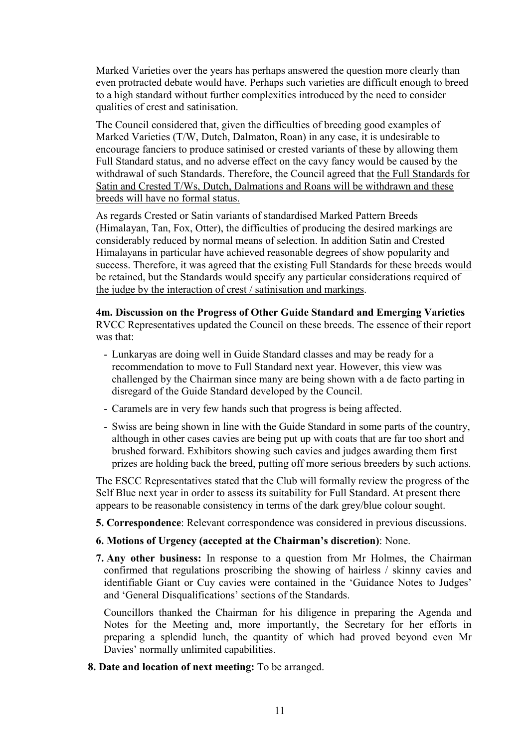Marked Varieties over the years has perhaps answered the question more clearly than even protracted debate would have. Perhaps such varieties are difficult enough to breed to a high standard without further complexities introduced by the need to consider qualities of crest and satinisation.

The Council considered that, given the difficulties of breeding good examples of Marked Varieties (T/W, Dutch, Dalmaton, Roan) in any case, it is undesirable to encourage fanciers to produce satinised or crested variants of these by allowing them Full Standard status, and no adverse effect on the cavy fancy would be caused by the withdrawal of such Standards. Therefore, the Council agreed that the Full Standards for Satin and Crested T/Ws, Dutch, Dalmations and Roans will be withdrawn and these breeds will have no formal status.

As regards Crested or Satin variants of standardised Marked Pattern Breeds (Himalayan, Tan, Fox, Otter), the difficulties of producing the desired markings are considerably reduced by normal means of selection. In addition Satin and Crested Himalayans in particular have achieved reasonable degrees of show popularity and success. Therefore, it was agreed that the existing Full Standards for these breeds would be retained, but the Standards would specify any particular considerations required of the judge by the interaction of crest / satinisation and markings.

#### **4m. Discussion on the Progress of Other Guide Standard and Emerging Varieties**

RVCC Representatives updated the Council on these breeds. The essence of their report was that:

- Lunkaryas are doing well in Guide Standard classes and may be ready for a recommendation to move to Full Standard next year. However, this view was challenged by the Chairman since many are being shown with a de facto parting in disregard of the Guide Standard developed by the Council.
- Caramels are in very few hands such that progress is being affected.
- Swiss are being shown in line with the Guide Standard in some parts of the country, although in other cases cavies are being put up with coats that are far too short and brushed forward. Exhibitors showing such cavies and judges awarding them first prizes are holding back the breed, putting off more serious breeders by such actions.

The ESCC Representatives stated that the Club will formally review the progress of the Self Blue next year in order to assess its suitability for Full Standard. At present there appears to be reasonable consistency in terms of the dark grey/blue colour sought.

**5. Correspondence**: Relevant correspondence was considered in previous discussions.

# **6. Motions of Urgency (accepted at the Chairman's discretion)**: None.

**7. Any other business:** In response to a question from Mr Holmes, the Chairman confirmed that regulations proscribing the showing of hairless / skinny cavies and identifiable Giant or Cuy cavies were contained in the 'Guidance Notes to Judges' and 'General Disqualifications' sections of the Standards.

Councillors thanked the Chairman for his diligence in preparing the Agenda and Notes for the Meeting and, more importantly, the Secretary for her efforts in preparing a splendid lunch, the quantity of which had proved beyond even Mr Davies' normally unlimited capabilities.

**8. Date and location of next meeting:** To be arranged.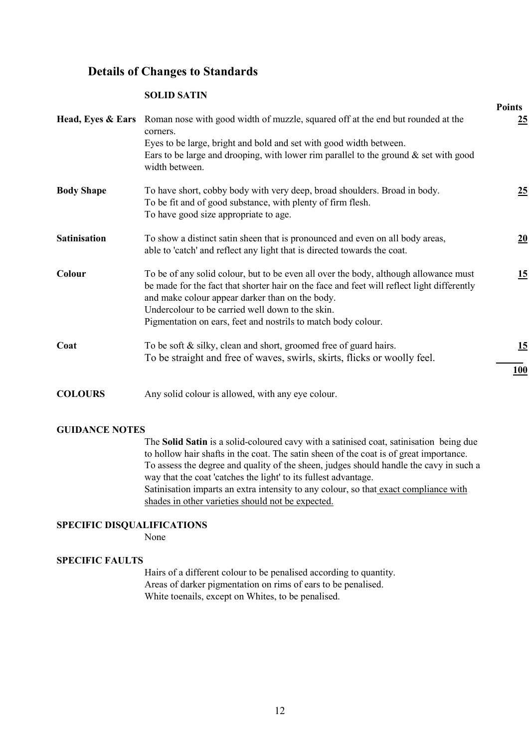# **Details of Changes to Standards**

#### **SOLID SATIN**

|                     | <b>Head, Eyes &amp; Ears</b> Roman nose with good width of muzzle, squared off at the end but rounded at the<br>corners.<br>Eyes to be large, bright and bold and set with good width between.<br>Ears to be large and drooping, with lower rim parallel to the ground $\&$ set with good<br>width between.                                                | т оппез<br>25    |
|---------------------|------------------------------------------------------------------------------------------------------------------------------------------------------------------------------------------------------------------------------------------------------------------------------------------------------------------------------------------------------------|------------------|
| <b>Body Shape</b>   | To have short, cobby body with very deep, broad shoulders. Broad in body.<br>To be fit and of good substance, with plenty of firm flesh.<br>To have good size appropriate to age.                                                                                                                                                                          | <u>25</u>        |
| <b>Satinisation</b> | To show a distinct satin sheen that is pronounced and even on all body areas,<br>able to 'catch' and reflect any light that is directed towards the coat.                                                                                                                                                                                                  | 20               |
| Colour              | To be of any solid colour, but to be even all over the body, although allowance must<br>be made for the fact that shorter hair on the face and feet will reflect light differently<br>and make colour appear darker than on the body.<br>Undercolour to be carried well down to the skin.<br>Pigmentation on ears, feet and nostrils to match body colour. | 15               |
| Coat                | To be soft $\&$ silky, clean and short, groomed free of guard hairs.<br>To be straight and free of waves, swirls, skirts, flicks or woolly feel.                                                                                                                                                                                                           | 15<br><b>100</b> |
| $\alpha$ ating      | $\mathbf{A}$ and the contract of the contract of the contract of the contract of the contract of the contract of the contract of the contract of the contract of the contract of the contract of the contract of the contract of                                                                                                                           |                  |

**Points**

# **COLOURS** Any solid colour is allowed, with any eye colour.

#### **GUIDANCE NOTES**

The **Solid Satin** is a solid-coloured cavy with a satinised coat, satinisation being due to hollow hair shafts in the coat. The satin sheen of the coat is of great importance. To assess the degree and quality of the sheen, judges should handle the cavy in such a way that the coat 'catches the light' to its fullest advantage. Satinisation imparts an extra intensity to any colour, so that exact compliance with shades in other varieties should not be expected.

# **SPECIFIC DISQUALIFICATIONS**

None

# **SPECIFIC FAULTS**

Hairs of a different colour to be penalised according to quantity. Areas of darker pigmentation on rims of ears to be penalised. White toenails, except on Whites, to be penalised.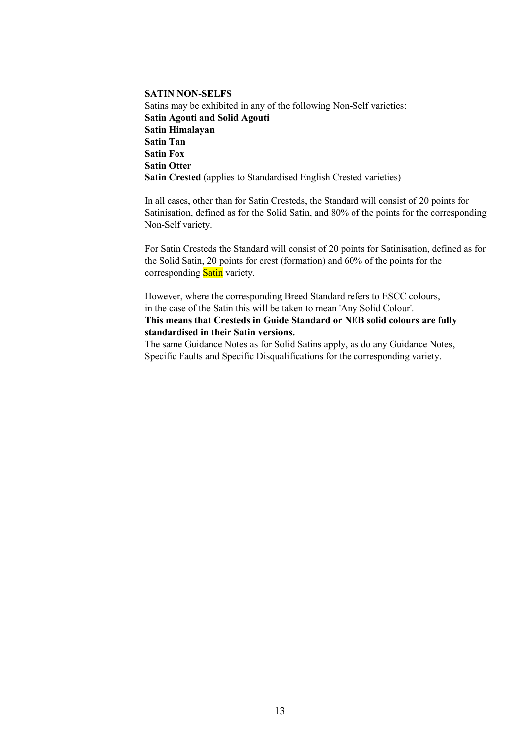**SATIN NON-SELFS**  Satins may be exhibited in any of the following Non-Self varieties: **Satin Agouti and Solid Agouti Satin Himalayan Satin Tan Satin Fox Satin Otter Satin Crested** (applies to Standardised English Crested varieties)

In all cases, other than for Satin Cresteds, the Standard will consist of 20 points for Satinisation, defined as for the Solid Satin, and 80% of the points for the corresponding Non-Self variety.

For Satin Cresteds the Standard will consist of 20 points for Satinisation, defined as for the Solid Satin, 20 points for crest (formation) and 60% of the points for the corresponding **Satin** variety.

However, where the corresponding Breed Standard refers to ESCC colours, in the case of the Satin this will be taken to mean 'Any Solid Colour'. **This means that Cresteds in Guide Standard or NEB solid colours are fully standardised in their Satin versions.**

The same Guidance Notes as for Solid Satins apply, as do any Guidance Notes, Specific Faults and Specific Disqualifications for the corresponding variety.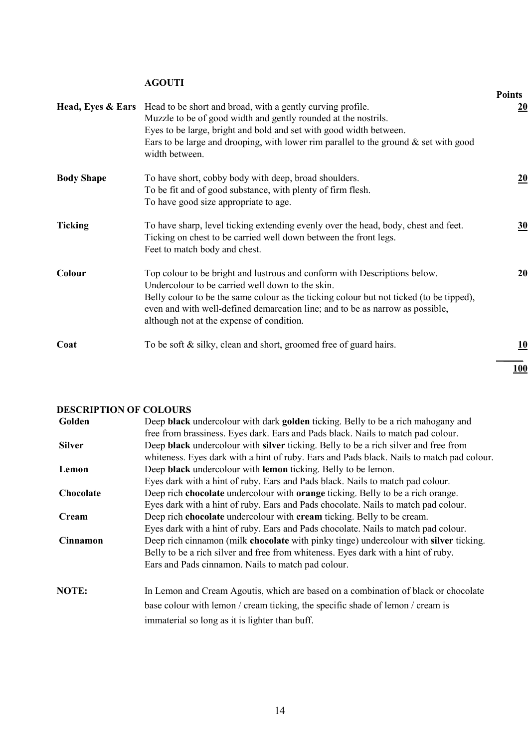# **AGOUTI**

|                   |                                                                                                                                                                                                                                                                                                                                                        | <b>Points</b> |
|-------------------|--------------------------------------------------------------------------------------------------------------------------------------------------------------------------------------------------------------------------------------------------------------------------------------------------------------------------------------------------------|---------------|
|                   | Head, Eyes & Ears Head to be short and broad, with a gently curving profile.<br>Muzzle to be of good width and gently rounded at the nostrils.<br>Eyes to be large, bright and bold and set with good width between.<br>Ears to be large and drooping, with lower rim parallel to the ground $\&$ set with good<br>width between.                      | 20            |
| <b>Body Shape</b> | To have short, cobby body with deep, broad shoulders.<br>To be fit and of good substance, with plenty of firm flesh.<br>To have good size appropriate to age.                                                                                                                                                                                          | 20            |
| <b>Ticking</b>    | To have sharp, level ticking extending evenly over the head, body, chest and feet.<br>Ticking on chest to be carried well down between the front legs.<br>Feet to match body and chest.                                                                                                                                                                | 30            |
| Colour            | Top colour to be bright and lustrous and conform with Descriptions below.<br>Undercolour to be carried well down to the skin.<br>Belly colour to be the same colour as the ticking colour but not ticked (to be tipped),<br>even and with well-defined demarcation line; and to be as narrow as possible,<br>although not at the expense of condition. | 20            |
| Coat              | To be soft $&$ silky, clean and short, groomed free of guard hairs.                                                                                                                                                                                                                                                                                    | 10            |
|                   |                                                                                                                                                                                                                                                                                                                                                        | 100           |

# **DESCRIPTION OF COLOURS**

| Golden          | Deep black undercolour with dark golden ticking. Belly to be a rich mahogany and          |
|-----------------|-------------------------------------------------------------------------------------------|
|                 | free from brassiness. Eyes dark. Ears and Pads black. Nails to match pad colour.          |
| <b>Silver</b>   | Deep black undercolour with silver ticking. Belly to be a rich silver and free from       |
|                 | whiteness. Eyes dark with a hint of ruby. Ears and Pads black. Nails to match pad colour. |
| Lemon           | Deep black undercolour with lemon ticking. Belly to be lemon.                             |
|                 | Eyes dark with a hint of ruby. Ears and Pads black. Nails to match pad colour.            |
| Chocolate       | Deep rich chocolate undercolour with orange ticking. Belly to be a rich orange.           |
|                 | Eyes dark with a hint of ruby. Ears and Pads chocolate. Nails to match pad colour.        |
| Cream           | Deep rich chocolate undercolour with cream ticking. Belly to be cream.                    |
|                 | Eyes dark with a hint of ruby. Ears and Pads chocolate. Nails to match pad colour.        |
| <b>Cinnamon</b> | Deep rich cinnamon (milk chocolate with pinky tinge) undercolour with silver ticking.     |
|                 | Belly to be a rich silver and free from whiteness. Eyes dark with a hint of ruby.         |
|                 | Ears and Pads cinnamon. Nails to match pad colour.                                        |
| <b>NOTE:</b>    | In Lemon and Cream Agoutis, which are based on a combination of black or chocolate        |
|                 | base colour with lemon / cream ticking, the specific shade of lemon / cream is            |
|                 | immaterial so long as it is lighter than buff.                                            |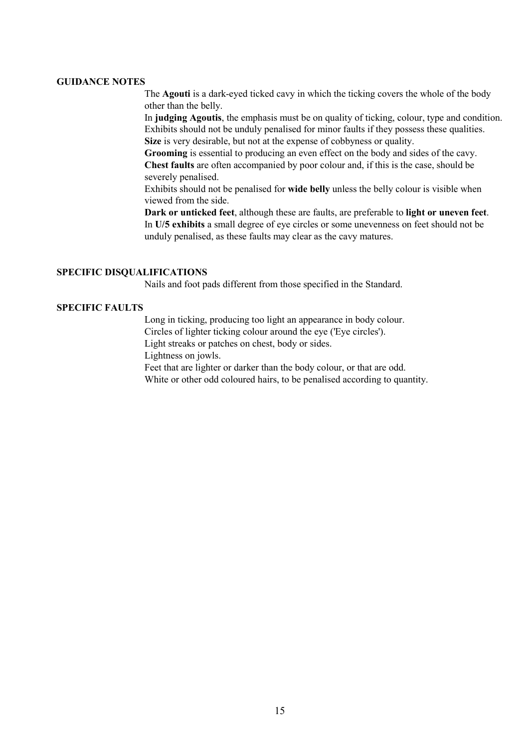#### **GUIDANCE NOTES**

The **Agouti** is a dark-eyed ticked cavy in which the ticking covers the whole of the body other than the belly.

In **judging Agoutis**, the emphasis must be on quality of ticking, colour, type and condition. Exhibits should not be unduly penalised for minor faults if they possess these qualities. **Size** is very desirable, but not at the expense of cobbyness or quality.

**Grooming** is essential to producing an even effect on the body and sides of the cavy. **Chest faults** are often accompanied by poor colour and, if this is the case, should be severely penalised.

Exhibits should not be penalised for **wide belly** unless the belly colour is visible when viewed from the side.

**Dark or unticked feet**, although these are faults, are preferable to **light or uneven feet**. In **U/5 exhibits** a small degree of eye circles or some unevenness on feet should not be unduly penalised, as these faults may clear as the cavy matures.

#### **SPECIFIC DISQUALIFICATIONS**

Nails and foot pads different from those specified in the Standard.

#### **SPECIFIC FAULTS**

Long in ticking, producing too light an appearance in body colour. Circles of lighter ticking colour around the eye ('Eye circles').

Light streaks or patches on chest, body or sides.

Lightness on jowls.

Feet that are lighter or darker than the body colour, or that are odd.

White or other odd coloured hairs, to be penalised according to quantity.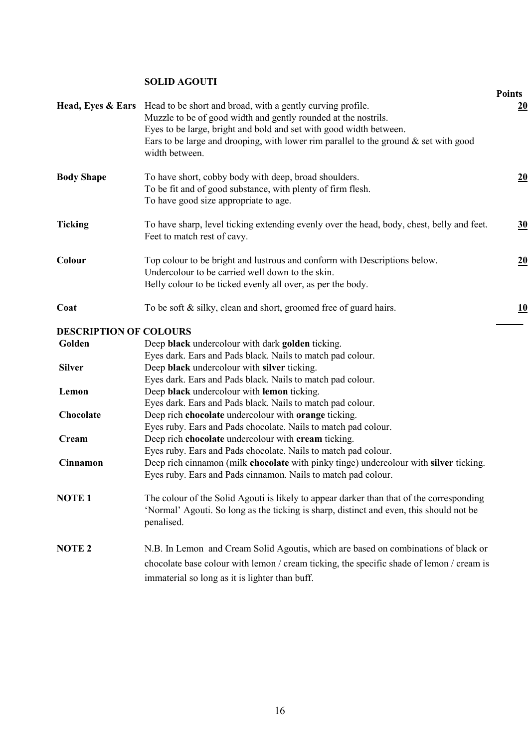# **SOLID AGOUTI**

|                               |                                                                                                       | <b>Points</b> |
|-------------------------------|-------------------------------------------------------------------------------------------------------|---------------|
| Head, Eyes & Ears             | Head to be short and broad, with a gently curving profile.                                            | 20            |
|                               | Muzzle to be of good width and gently rounded at the nostrils.                                        |               |
|                               | Eyes to be large, bright and bold and set with good width between.                                    |               |
|                               | Ears to be large and drooping, with lower rim parallel to the ground $\&$ set with good               |               |
|                               | width between.                                                                                        |               |
| <b>Body Shape</b>             | To have short, cobby body with deep, broad shoulders.                                                 | 20            |
|                               | To be fit and of good substance, with plenty of firm flesh.                                           |               |
|                               | To have good size appropriate to age.                                                                 |               |
| <b>Ticking</b>                | To have sharp, level ticking extending evenly over the head, body, chest, belly and feet.             | 30            |
|                               | Feet to match rest of cavy.                                                                           |               |
| Colour                        | Top colour to be bright and lustrous and conform with Descriptions below.                             | <u>20</u>     |
|                               | Undercolour to be carried well down to the skin.                                                      |               |
|                               | Belly colour to be ticked evenly all over, as per the body.                                           |               |
| Coat                          | To be soft $\&$ silky, clean and short, groomed free of guard hairs.                                  | <u> 10</u>    |
| <b>DESCRIPTION OF COLOURS</b> |                                                                                                       |               |
| Golden                        | Deep black undercolour with dark golden ticking.                                                      |               |
|                               | Eyes dark. Ears and Pads black. Nails to match pad colour.                                            |               |
| <b>Silver</b>                 | Deep black undercolour with silver ticking.                                                           |               |
|                               | Eyes dark. Ears and Pads black. Nails to match pad colour.                                            |               |
| Lemon                         | Deep black undercolour with lemon ticking.                                                            |               |
|                               | Eyes dark. Ears and Pads black. Nails to match pad colour.                                            |               |
| Chocolate                     | Deep rich chocolate undercolour with orange ticking.                                                  |               |
|                               | Eyes ruby. Ears and Pads chocolate. Nails to match pad colour.                                        |               |
| Cream                         | Deep rich chocolate undercolour with cream ticking.                                                   |               |
|                               | Eyes ruby. Ears and Pads chocolate. Nails to match pad colour.                                        |               |
| Cinnamon                      | Deep rich cinnamon (milk chocolate with pinky tinge) undercolour with silver ticking.                 |               |
|                               | Eyes ruby. Ears and Pads cinnamon. Nails to match pad colour.                                         |               |
| <b>NOTE1</b>                  | The colour of the Solid Agouti is likely to appear darker than that of the corresponding              |               |
|                               | 'Normal' Agouti. So long as the ticking is sharp, distinct and even, this should not be<br>penalised. |               |
| <b>NOTE 2</b>                 | N.B. In Lemon and Cream Solid Agoutis, which are based on combinations of black or                    |               |
|                               | chocolate base colour with lemon / cream ticking, the specific shade of lemon / cream is              |               |
|                               | immaterial so long as it is lighter than buff.                                                        |               |
|                               |                                                                                                       |               |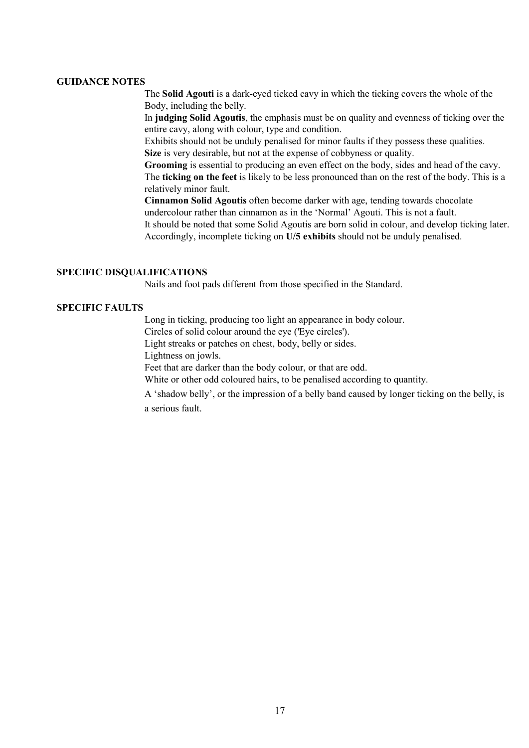#### **GUIDANCE NOTES**

The **Solid Agouti** is a dark-eyed ticked cavy in which the ticking covers the whole of the Body, including the belly.

In **judging Solid Agoutis**, the emphasis must be on quality and evenness of ticking over the entire cavy, along with colour, type and condition.

Exhibits should not be unduly penalised for minor faults if they possess these qualities. **Size** is very desirable, but not at the expense of cobbyness or quality.

**Grooming** is essential to producing an even effect on the body, sides and head of the cavy. The **ticking on the feet** is likely to be less pronounced than on the rest of the body. This is a relatively minor fault.

**Cinnamon Solid Agoutis** often become darker with age, tending towards chocolate undercolour rather than cinnamon as in the 'Normal' Agouti. This is not a fault.

It should be noted that some Solid Agoutis are born solid in colour, and develop ticking later. Accordingly, incomplete ticking on **U/5 exhibits** should not be unduly penalised.

#### **SPECIFIC DISQUALIFICATIONS**

Nails and foot pads different from those specified in the Standard.

#### **SPECIFIC FAULTS**

Long in ticking, producing too light an appearance in body colour.

Circles of solid colour around the eye ('Eye circles').

Light streaks or patches on chest, body, belly or sides.

Lightness on jowls.

Feet that are darker than the body colour, or that are odd.

White or other odd coloured hairs, to be penalised according to quantity.

A 'shadow belly', or the impression of a belly band caused by longer ticking on the belly, is a serious fault.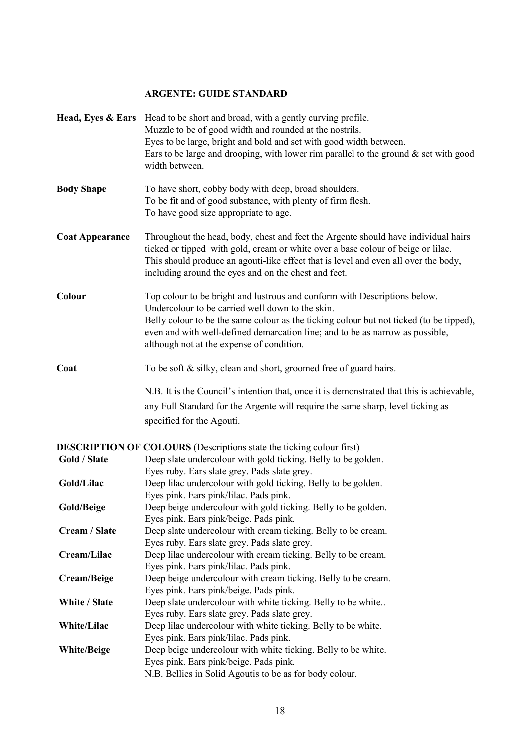# **ARGENTE: GUIDE STANDARD**

|                        | Head, Eyes & Ears Head to be short and broad, with a gently curving profile.<br>Muzzle to be of good width and rounded at the nostrils.<br>Eyes to be large, bright and bold and set with good width between.<br>Ears to be large and drooping, with lower rim parallel to the ground $\&$ set with good<br>width between.                             |
|------------------------|--------------------------------------------------------------------------------------------------------------------------------------------------------------------------------------------------------------------------------------------------------------------------------------------------------------------------------------------------------|
| <b>Body Shape</b>      | To have short, cobby body with deep, broad shoulders.<br>To be fit and of good substance, with plenty of firm flesh.<br>To have good size appropriate to age.                                                                                                                                                                                          |
| <b>Coat Appearance</b> | Throughout the head, body, chest and feet the Argente should have individual hairs<br>ticked or tipped with gold, cream or white over a base colour of beige or lilac.<br>This should produce an agouti-like effect that is level and even all over the body,<br>including around the eyes and on the chest and feet.                                  |
| Colour                 | Top colour to be bright and lustrous and conform with Descriptions below.<br>Undercolour to be carried well down to the skin.<br>Belly colour to be the same colour as the ticking colour but not ticked (to be tipped),<br>even and with well-defined demarcation line; and to be as narrow as possible,<br>although not at the expense of condition. |
| Coat                   | To be soft $\&$ silky, clean and short, groomed free of guard hairs.<br>N.B. It is the Council's intention that, once it is demonstrated that this is achievable,<br>any Full Standard for the Argente will require the same sharp, level ticking as<br>specified for the Agouti.                                                                      |
|                        | <b>DESCRIPTION OF COLOURS</b> (Descriptions state the ticking colour first)                                                                                                                                                                                                                                                                            |
| Gold / Slate           | Deep slate undercolour with gold ticking. Belly to be golden.                                                                                                                                                                                                                                                                                          |
| Gold/Lilac             | Eyes ruby. Ears slate grey. Pads slate grey.<br>Deep lilac undercolour with gold ticking. Belly to be golden.<br>Eyes pink. Ears pink/lilac. Pads pink.                                                                                                                                                                                                |
| Gold/Beige             | Deep beige undercolour with gold ticking. Belly to be golden.                                                                                                                                                                                                                                                                                          |
| Cream / Slate          | Eyes pink. Ears pink/beige. Pads pink.<br>Deep slate undercolour with cream ticking. Belly to be cream.<br>Eyes ruby. Ears slate grey. Pads slate grey.                                                                                                                                                                                                |
| Cream/Lilac            | Deep lilac undercolour with cream ticking. Belly to be cream.                                                                                                                                                                                                                                                                                          |
| Cream/Beige            | Eyes pink. Ears pink/lilac. Pads pink.<br>Deep beige undercolour with cream ticking. Belly to be cream.<br>Eyes pink. Ears pink/beige. Pads pink.                                                                                                                                                                                                      |
| White / Slate          | Deep slate undercolour with white ticking. Belly to be white                                                                                                                                                                                                                                                                                           |
| White/Lilac            | Eyes ruby. Ears slate grey. Pads slate grey.<br>Deep lilac undercolour with white ticking. Belly to be white.<br>Eyes pink. Ears pink/lilac. Pads pink.                                                                                                                                                                                                |
| <b>White/Beige</b>     | Deep beige undercolour with white ticking. Belly to be white.<br>Eyes pink. Ears pink/beige. Pads pink.<br>N.B. Bellies in Solid Agoutis to be as for body colour.                                                                                                                                                                                     |
|                        |                                                                                                                                                                                                                                                                                                                                                        |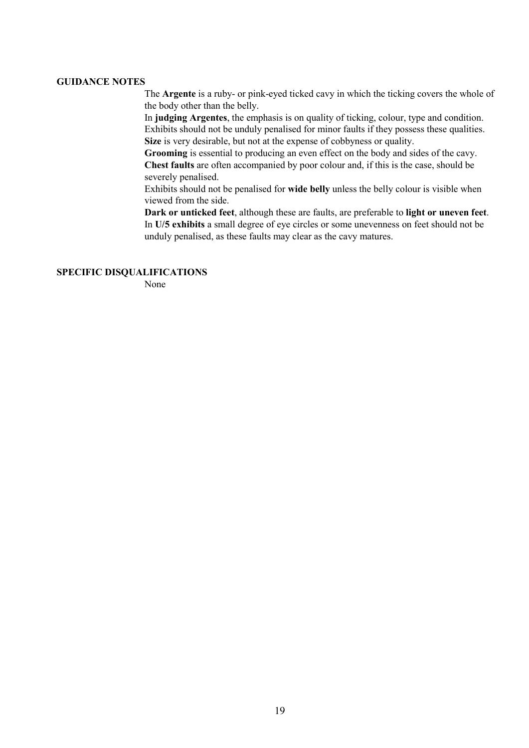#### **GUIDANCE NOTES**

The **Argente** is a ruby- or pink-eyed ticked cavy in which the ticking covers the whole of the body other than the belly.

In **judging Argentes**, the emphasis is on quality of ticking, colour, type and condition. Exhibits should not be unduly penalised for minor faults if they possess these qualities. **Size** is very desirable, but not at the expense of cobbyness or quality.

**Grooming** is essential to producing an even effect on the body and sides of the cavy. **Chest faults** are often accompanied by poor colour and, if this is the case, should be severely penalised.

Exhibits should not be penalised for **wide belly** unless the belly colour is visible when viewed from the side.

**Dark or unticked feet**, although these are faults, are preferable to **light or uneven feet**. In **U/5 exhibits** a small degree of eye circles or some unevenness on feet should not be unduly penalised, as these faults may clear as the cavy matures.

#### **SPECIFIC DISQUALIFICATIONS**

None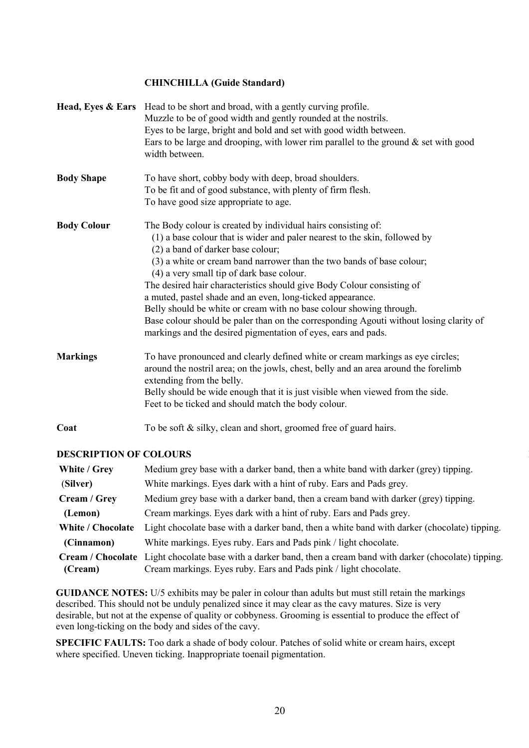# **CHINCHILLA (Guide Standard)**

|                               | Head, Eyes & Ears Head to be short and broad, with a gently curving profile.<br>Muzzle to be of good width and gently rounded at the nostrils.<br>Eyes to be large, bright and bold and set with good width between.<br>Ears to be large and drooping, with lower rim parallel to the ground $\&$ set with good<br>width between. |
|-------------------------------|-----------------------------------------------------------------------------------------------------------------------------------------------------------------------------------------------------------------------------------------------------------------------------------------------------------------------------------|
| <b>Body Shape</b>             | To have short, cobby body with deep, broad shoulders.                                                                                                                                                                                                                                                                             |
|                               | To be fit and of good substance, with plenty of firm flesh.                                                                                                                                                                                                                                                                       |
|                               | To have good size appropriate to age.                                                                                                                                                                                                                                                                                             |
| <b>Body Colour</b>            | The Body colour is created by individual hairs consisting of:                                                                                                                                                                                                                                                                     |
|                               | (1) a base colour that is wider and paler nearest to the skin, followed by<br>(2) a band of darker base colour;                                                                                                                                                                                                                   |
|                               | (3) a white or cream band narrower than the two bands of base colour;<br>(4) a very small tip of dark base colour.                                                                                                                                                                                                                |
|                               | The desired hair characteristics should give Body Colour consisting of                                                                                                                                                                                                                                                            |
|                               | a muted, pastel shade and an even, long-ticked appearance.                                                                                                                                                                                                                                                                        |
|                               | Belly should be white or cream with no base colour showing through.                                                                                                                                                                                                                                                               |
|                               | Base colour should be paler than on the corresponding Agouti without losing clarity of<br>markings and the desired pigmentation of eyes, ears and pads.                                                                                                                                                                           |
| <b>Markings</b>               | To have pronounced and clearly defined white or cream markings as eye circles;                                                                                                                                                                                                                                                    |
|                               | around the nostril area; on the jowls, chest, belly and an area around the forelimb<br>extending from the belly.                                                                                                                                                                                                                  |
|                               | Belly should be wide enough that it is just visible when viewed from the side.                                                                                                                                                                                                                                                    |
|                               | Feet to be ticked and should match the body colour.                                                                                                                                                                                                                                                                               |
| Coat                          | To be soft $\&$ silky, clean and short, groomed free of guard hairs.                                                                                                                                                                                                                                                              |
| <b>DESCRIPTION OF COLOURS</b> |                                                                                                                                                                                                                                                                                                                                   |

| White / Grey      | Medium grey base with a darker band, then a white band with darker (grey) tipping.                                   |
|-------------------|----------------------------------------------------------------------------------------------------------------------|
| (Silver)          | White markings. Eyes dark with a hint of ruby. Ears and Pads grey.                                                   |
| Cream / Grey      | Medium grey base with a darker band, then a cream band with darker (grey) tipping.                                   |
| (Lemon)           | Cream markings. Eyes dark with a hint of ruby. Ears and Pads grey.                                                   |
| White / Chocolate | Light chocolate base with a darker band, then a white band with darker (chocolate) tipping.                          |
| (Cinnamon)        | White markings. Eyes ruby. Ears and Pads pink / light chocolate.                                                     |
|                   | <b>Cream</b> / Chocolate Light chocolate base with a darker band, then a cream band with darker (chocolate) tipping. |
| (Cream)           | Cream markings. Eyes ruby. Ears and Pads pink / light chocolate.                                                     |

**GUIDANCE NOTES:** U/5 exhibits may be paler in colour than adults but must still retain the markings described. This should not be unduly penalized since it may clear as the cavy matures. Size is very desirable, but not at the expense of quality or cobbyness. Grooming is essential to produce the effect of even long-ticking on the body and sides of the cavy.

**SPECIFIC FAULTS:** Too dark a shade of body colour. Patches of solid white or cream hairs, except where specified. Uneven ticking. Inappropriate toenail pigmentation.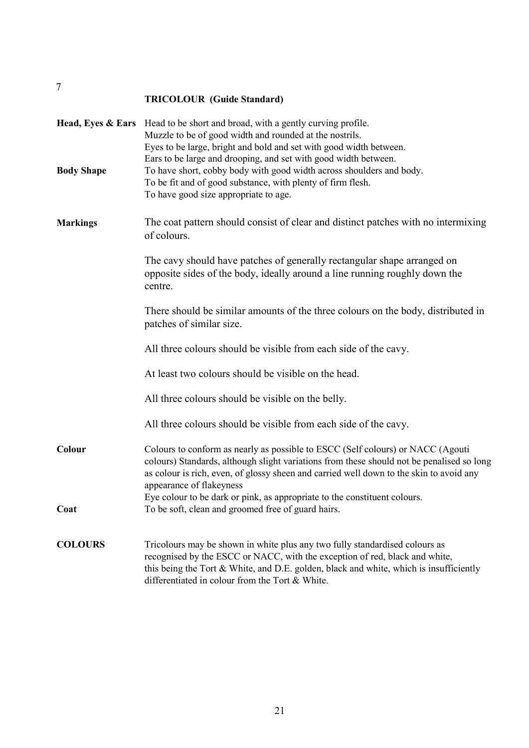# **TRICOLOUR (Guide Standard)**

| <b>Body Shape</b> | Head, Eyes & Ears Head to be short and broad, with a gently curving profile.<br>Muzzle to be of good width and rounded at the nostrils.<br>Eyes to be large, bright and bold and set with good width between.<br>Ears to be large and drooping, and set with good width between.<br>To have short, cobby body with good width across shoulders and body.<br>To be fit and of good substance, with plenty of firm flesh.<br>To have good size appropriate to age. |
|-------------------|------------------------------------------------------------------------------------------------------------------------------------------------------------------------------------------------------------------------------------------------------------------------------------------------------------------------------------------------------------------------------------------------------------------------------------------------------------------|
| <b>Markings</b>   | The coat pattern should consist of clear and distinct patches with no intermixing<br>of colours.                                                                                                                                                                                                                                                                                                                                                                 |
|                   | The cavy should have patches of generally rectangular shape arranged on<br>opposite sides of the body, ideally around a line running roughly down the<br>centre.                                                                                                                                                                                                                                                                                                 |
|                   | There should be similar amounts of the three colours on the body, distributed in<br>patches of similar size.                                                                                                                                                                                                                                                                                                                                                     |
|                   | All three colours should be visible from each side of the cavy.                                                                                                                                                                                                                                                                                                                                                                                                  |
|                   | At least two colours should be visible on the head.                                                                                                                                                                                                                                                                                                                                                                                                              |
|                   | All three colours should be visible on the belly.                                                                                                                                                                                                                                                                                                                                                                                                                |
|                   | All three colours should be visible from each side of the cavy.                                                                                                                                                                                                                                                                                                                                                                                                  |
| Colour            | Colours to conform as nearly as possible to ESCC (Self colours) or NACC (Agouti<br>colours) Standards, although slight variations from these should not be penalised so long<br>as colour is rich, even, of glossy sheen and carried well down to the skin to avoid any<br>appearance of flakeyness                                                                                                                                                              |
| Coat              | Eye colour to be dark or pink, as appropriate to the constituent colours.<br>To be soft, clean and groomed free of guard hairs.                                                                                                                                                                                                                                                                                                                                  |
|                   |                                                                                                                                                                                                                                                                                                                                                                                                                                                                  |
| <b>COLOURS</b>    | Tricolours may be shown in white plus any two fully standardised colours as<br>recognised by the ESCC or NACC, with the exception of red, black and white,<br>this being the Tort & White, and D.E. golden, black and white, which is insufficiently<br>differentiated in colour from the Tort & White.                                                                                                                                                          |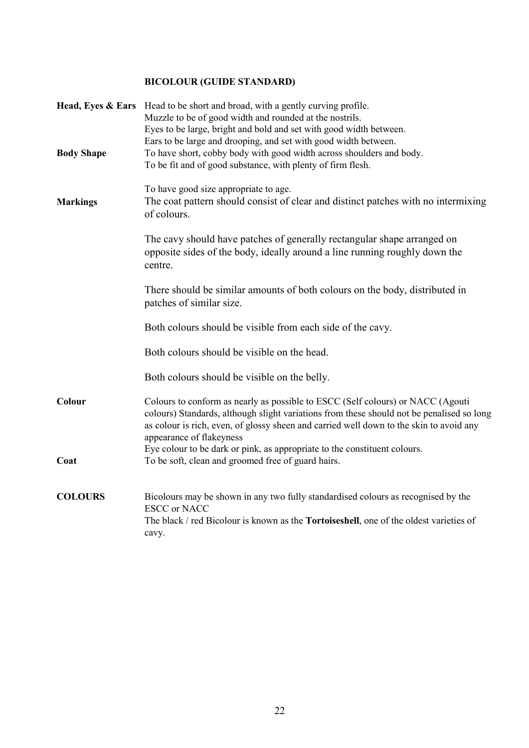# **BICOLOUR (GUIDE STANDARD)**

| <b>Body Shape</b> | Head, Eyes & Ears Head to be short and broad, with a gently curving profile.<br>Muzzle to be of good width and rounded at the nostrils.<br>Eyes to be large, bright and bold and set with good width between.<br>Ears to be large and drooping, and set with good width between.<br>To have short, cobby body with good width across shoulders and body.<br>To be fit and of good substance, with plenty of firm flesh. |
|-------------------|-------------------------------------------------------------------------------------------------------------------------------------------------------------------------------------------------------------------------------------------------------------------------------------------------------------------------------------------------------------------------------------------------------------------------|
| <b>Markings</b>   | To have good size appropriate to age.<br>The coat pattern should consist of clear and distinct patches with no intermixing<br>of colours.                                                                                                                                                                                                                                                                               |
|                   | The cavy should have patches of generally rectangular shape arranged on<br>opposite sides of the body, ideally around a line running roughly down the<br>centre.                                                                                                                                                                                                                                                        |
|                   | There should be similar amounts of both colours on the body, distributed in<br>patches of similar size.                                                                                                                                                                                                                                                                                                                 |
|                   | Both colours should be visible from each side of the cavy.                                                                                                                                                                                                                                                                                                                                                              |
|                   | Both colours should be visible on the head.                                                                                                                                                                                                                                                                                                                                                                             |
|                   | Both colours should be visible on the belly.                                                                                                                                                                                                                                                                                                                                                                            |
| Colour            | Colours to conform as nearly as possible to ESCC (Self colours) or NACC (Agouti<br>colours) Standards, although slight variations from these should not be penalised so long<br>as colour is rich, even, of glossy sheen and carried well down to the skin to avoid any<br>appearance of flakeyness                                                                                                                     |
| Coat              | Eye colour to be dark or pink, as appropriate to the constituent colours.<br>To be soft, clean and groomed free of guard hairs.                                                                                                                                                                                                                                                                                         |
| <b>COLOURS</b>    | Bicolours may be shown in any two fully standardised colours as recognised by the<br><b>ESCC</b> or NACC<br>The black / red Bicolour is known as the Tortoiseshell, one of the oldest varieties of<br>cavy.                                                                                                                                                                                                             |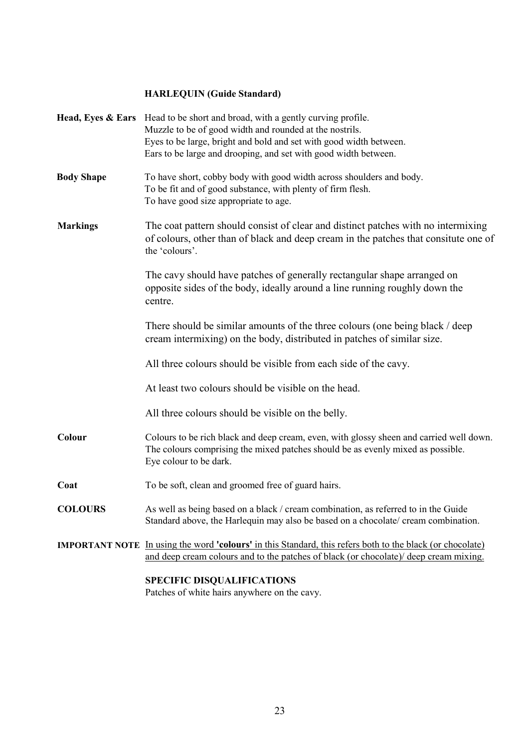# **HARLEQUIN (Guide Standard)**

| Head, Eyes & Ears Head to be short and broad, with a gently curving profile.<br>Muzzle to be of good width and rounded at the nostrils.<br>Eyes to be large, bright and bold and set with good width between.<br>Ears to be large and drooping, and set with good width between. |
|----------------------------------------------------------------------------------------------------------------------------------------------------------------------------------------------------------------------------------------------------------------------------------|
| To have short, cobby body with good width across shoulders and body.<br>To be fit and of good substance, with plenty of firm flesh.<br>To have good size appropriate to age.                                                                                                     |
| The coat pattern should consist of clear and distinct patches with no intermixing<br>of colours, other than of black and deep cream in the patches that consitute one of<br>the 'colours'.                                                                                       |
| The cavy should have patches of generally rectangular shape arranged on<br>opposite sides of the body, ideally around a line running roughly down the<br>centre.                                                                                                                 |
| There should be similar amounts of the three colours (one being black / deep<br>cream intermixing) on the body, distributed in patches of similar size.                                                                                                                          |
| All three colours should be visible from each side of the cavy.                                                                                                                                                                                                                  |
| At least two colours should be visible on the head.                                                                                                                                                                                                                              |
| All three colours should be visible on the belly.                                                                                                                                                                                                                                |
| Colours to be rich black and deep cream, even, with glossy sheen and carried well down.<br>The colours comprising the mixed patches should be as evenly mixed as possible.<br>Eye colour to be dark.                                                                             |
| To be soft, clean and groomed free of guard hairs.                                                                                                                                                                                                                               |
| As well as being based on a black / cream combination, as referred to in the Guide<br>Standard above, the Harlequin may also be based on a chocolate/ cream combination.                                                                                                         |
| <b>IMPORTANT NOTE</b> In using the word <b>'colours'</b> in this Standard, this refers both to the black (or chocolate)<br>and deep cream colours and to the patches of black (or chocolate)/ deep cream mixing.                                                                 |
|                                                                                                                                                                                                                                                                                  |

#### **SPECIFIC DISQUALIFICATIONS**

Patches of white hairs anywhere on the cavy.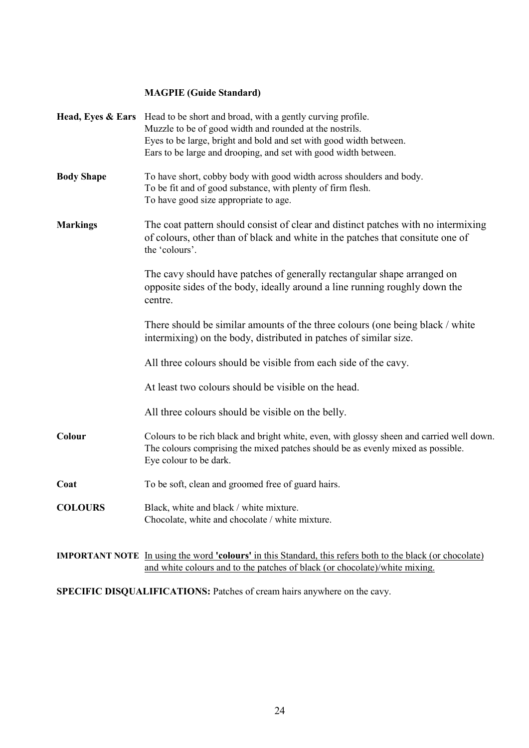# **MAGPIE (Guide Standard)**

|                   | Head, Eyes & Ears Head to be short and broad, with a gently curving profile.<br>Muzzle to be of good width and rounded at the nostrils.<br>Eyes to be large, bright and bold and set with good width between.<br>Ears to be large and drooping, and set with good width between. |
|-------------------|----------------------------------------------------------------------------------------------------------------------------------------------------------------------------------------------------------------------------------------------------------------------------------|
| <b>Body Shape</b> | To have short, cobby body with good width across shoulders and body.<br>To be fit and of good substance, with plenty of firm flesh.<br>To have good size appropriate to age.                                                                                                     |
| <b>Markings</b>   | The coat pattern should consist of clear and distinct patches with no intermixing<br>of colours, other than of black and white in the patches that consitute one of<br>the 'colours'.                                                                                            |
|                   | The cavy should have patches of generally rectangular shape arranged on<br>opposite sides of the body, ideally around a line running roughly down the<br>centre.                                                                                                                 |
|                   | There should be similar amounts of the three colours (one being black / white<br>intermixing) on the body, distributed in patches of similar size.                                                                                                                               |
|                   | All three colours should be visible from each side of the cavy.                                                                                                                                                                                                                  |
|                   | At least two colours should be visible on the head.                                                                                                                                                                                                                              |
|                   | All three colours should be visible on the belly.                                                                                                                                                                                                                                |
| Colour            | Colours to be rich black and bright white, even, with glossy sheen and carried well down.<br>The colours comprising the mixed patches should be as evenly mixed as possible.<br>Eye colour to be dark.                                                                           |
| Coat              | To be soft, clean and groomed free of guard hairs.                                                                                                                                                                                                                               |
| <b>COLOURS</b>    | Black, white and black / white mixture.<br>Chocolate, white and chocolate / white mixture.                                                                                                                                                                                       |
|                   |                                                                                                                                                                                                                                                                                  |

**IMPORTANT NOTE** In using the word **'colours'** in this Standard, this refers both to the black (or chocolate) and white colours and to the patches of black (or chocolate)/white mixing.

SPECIFIC DISQUALIFICATIONS: Patches of cream hairs anywhere on the cavy.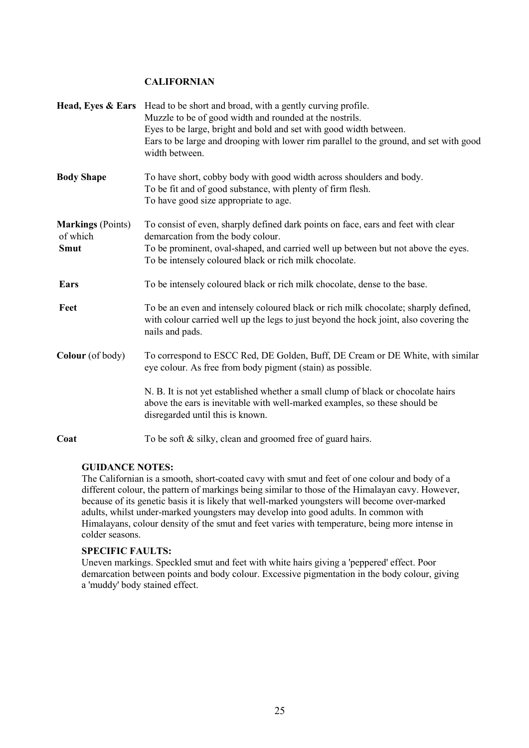# **CALIFORNIAN**

|                                                     | Head, Eyes & Ears Head to be short and broad, with a gently curving profile.<br>Muzzle to be of good width and rounded at the nostrils.<br>Eyes to be large, bright and bold and set with good width between.<br>Ears to be large and drooping with lower rim parallel to the ground, and set with good<br>width between. |
|-----------------------------------------------------|---------------------------------------------------------------------------------------------------------------------------------------------------------------------------------------------------------------------------------------------------------------------------------------------------------------------------|
| <b>Body Shape</b>                                   | To have short, cobby body with good width across shoulders and body.<br>To be fit and of good substance, with plenty of firm flesh.<br>To have good size appropriate to age.                                                                                                                                              |
| <b>Markings (Points)</b><br>of which<br><b>Smut</b> | To consist of even, sharply defined dark points on face, ears and feet with clear<br>demarcation from the body colour.<br>To be prominent, oval-shaped, and carried well up between but not above the eyes.<br>To be intensely coloured black or rich milk chocolate.                                                     |
| <b>Ears</b>                                         | To be intensely coloured black or rich milk chocolate, dense to the base.                                                                                                                                                                                                                                                 |
| Feet                                                | To be an even and intensely coloured black or rich milk chocolate; sharply defined,<br>with colour carried well up the legs to just beyond the hock joint, also covering the<br>nails and pads.                                                                                                                           |
| Colour (of body)                                    | To correspond to ESCC Red, DE Golden, Buff, DE Cream or DE White, with similar<br>eye colour. As free from body pigment (stain) as possible.                                                                                                                                                                              |
|                                                     | N. B. It is not yet established whether a small clump of black or chocolate hairs<br>above the ears is inevitable with well-marked examples, so these should be<br>disregarded until this is known.                                                                                                                       |
| Coat                                                | To be soft & silky, clean and groomed free of guard hairs.                                                                                                                                                                                                                                                                |

#### **GUIDANCE NOTES:**

The Californian is a smooth, short-coated cavy with smut and feet of one colour and body of a different colour, the pattern of markings being similar to those of the Himalayan cavy. However, because of its genetic basis it is likely that well-marked youngsters will become over-marked adults, whilst under-marked youngsters may develop into good adults. In common with Himalayans, colour density of the smut and feet varies with temperature, being more intense in colder seasons.

#### **SPECIFIC FAULTS:**

Uneven markings. Speckled smut and feet with white hairs giving a 'peppered' effect. Poor demarcation between points and body colour. Excessive pigmentation in the body colour, giving a 'muddy' body stained effect.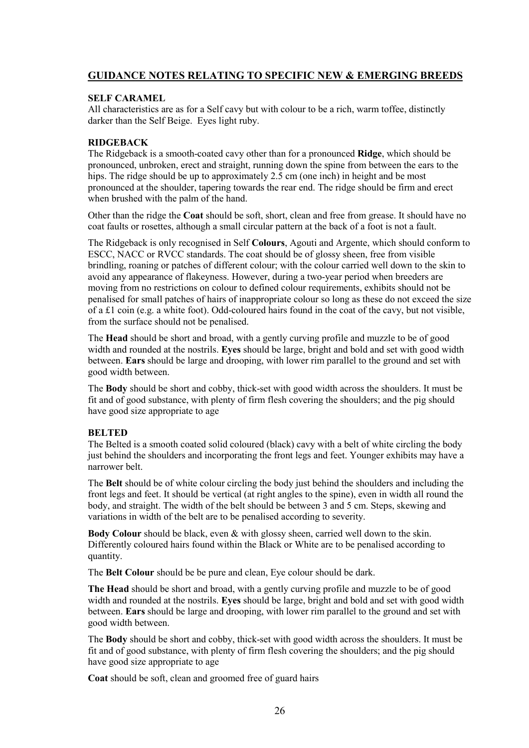# **GUIDANCE NOTES RELATING TO SPECIFIC NEW & EMERGING BREEDS**

## **SELF CARAMEL**

All characteristics are as for a Self cavy but with colour to be a rich, warm toffee, distinctly darker than the Self Beige. Eyes light ruby.

#### **RIDGEBACK**

The Ridgeback is a smooth-coated cavy other than for a pronounced **Ridge**, which should be pronounced, unbroken, erect and straight, running down the spine from between the ears to the hips. The ridge should be up to approximately 2.5 cm (one inch) in height and be most pronounced at the shoulder, tapering towards the rear end. The ridge should be firm and erect when brushed with the palm of the hand.

Other than the ridge the **Coat** should be soft, short, clean and free from grease. It should have no coat faults or rosettes, although a small circular pattern at the back of a foot is not a fault.

The Ridgeback is only recognised in Self **Colours**, Agouti and Argente, which should conform to ESCC, NACC or RVCC standards. The coat should be of glossy sheen, free from visible brindling, roaning or patches of different colour; with the colour carried well down to the skin to avoid any appearance of flakeyness. However, during a two-year period when breeders are moving from no restrictions on colour to defined colour requirements, exhibits should not be penalised for small patches of hairs of inappropriate colour so long as these do not exceed the size of a £1 coin (e.g. a white foot). Odd-coloured hairs found in the coat of the cavy, but not visible, from the surface should not be penalised.

The **Head** should be short and broad, with a gently curving profile and muzzle to be of good width and rounded at the nostrils. **Eyes** should be large, bright and bold and set with good width between. **Ears** should be large and drooping, with lower rim parallel to the ground and set with good width between.

The **Body** should be short and cobby, thick-set with good width across the shoulders. It must be fit and of good substance, with plenty of firm flesh covering the shoulders; and the pig should have good size appropriate to age

# **BELTED**

The Belted is a smooth coated solid coloured (black) cavy with a belt of white circling the body just behind the shoulders and incorporating the front legs and feet. Younger exhibits may have a narrower belt.

The **Belt** should be of white colour circling the body just behind the shoulders and including the front legs and feet. It should be vertical (at right angles to the spine), even in width all round the body, and straight. The width of the belt should be between 3 and 5 cm. Steps, skewing and variations in width of the belt are to be penalised according to severity.

**Body Colour** should be black, even & with glossy sheen, carried well down to the skin. Differently coloured hairs found within the Black or White are to be penalised according to quantity.

The **Belt Colour** should be be pure and clean, Eye colour should be dark.

**The Head** should be short and broad, with a gently curving profile and muzzle to be of good width and rounded at the nostrils. **Eyes** should be large, bright and bold and set with good width between. **Ears** should be large and drooping, with lower rim parallel to the ground and set with good width between.

The **Body** should be short and cobby, thick-set with good width across the shoulders. It must be fit and of good substance, with plenty of firm flesh covering the shoulders; and the pig should have good size appropriate to age

**Coat** should be soft, clean and groomed free of guard hairs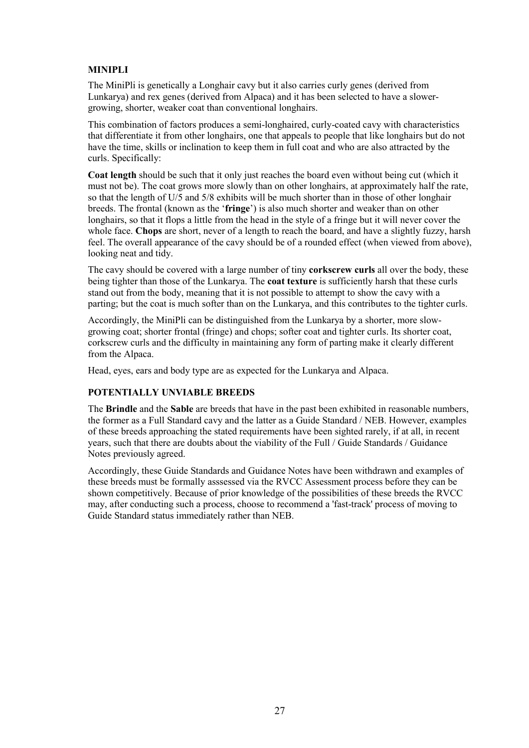# **MINIPLI**

The MiniPli is genetically a Longhair cavy but it also carries curly genes (derived from Lunkarya) and rex genes (derived from Alpaca) and it has been selected to have a slowergrowing, shorter, weaker coat than conventional longhairs.

This combination of factors produces a semi-longhaired, curly-coated cavy with characteristics that differentiate it from other longhairs, one that appeals to people that like longhairs but do not have the time, skills or inclination to keep them in full coat and who are also attracted by the curls. Specifically:

**Coat length** should be such that it only just reaches the board even without being cut (which it must not be). The coat grows more slowly than on other longhairs, at approximately half the rate, so that the length of U/5 and 5/8 exhibits will be much shorter than in those of other longhair breeds. The frontal (known as the '**fringe**') is also much shorter and weaker than on other longhairs, so that it flops a little from the head in the style of a fringe but it will never cover the whole face. **Chops** are short, never of a length to reach the board, and have a slightly fuzzy, harsh feel. The overall appearance of the cavy should be of a rounded effect (when viewed from above), looking neat and tidy.

The cavy should be covered with a large number of tiny **corkscrew curls** all over the body, these being tighter than those of the Lunkarya. The **coat texture** is sufficiently harsh that these curls stand out from the body, meaning that it is not possible to attempt to show the cavy with a parting; but the coat is much softer than on the Lunkarya, and this contributes to the tighter curls.

Accordingly, the MiniPli can be distinguished from the Lunkarya by a shorter, more slowgrowing coat; shorter frontal (fringe) and chops; softer coat and tighter curls. Its shorter coat, corkscrew curls and the difficulty in maintaining any form of parting make it clearly different from the Alpaca.

Head, eyes, ears and body type are as expected for the Lunkarya and Alpaca.

#### **POTENTIALLY UNVIABLE BREEDS**

The **Brindle** and the **Sable** are breeds that have in the past been exhibited in reasonable numbers, the former as a Full Standard cavy and the latter as a Guide Standard / NEB. However, examples of these breeds approaching the stated requirements have been sighted rarely, if at all, in recent years, such that there are doubts about the viability of the Full / Guide Standards / Guidance Notes previously agreed.

Accordingly, these Guide Standards and Guidance Notes have been withdrawn and examples of these breeds must be formally asssessed via the RVCC Assessment process before they can be shown competitively. Because of prior knowledge of the possibilities of these breeds the RVCC may, after conducting such a process, choose to recommend a 'fast-track' process of moving to Guide Standard status immediately rather than NEB.